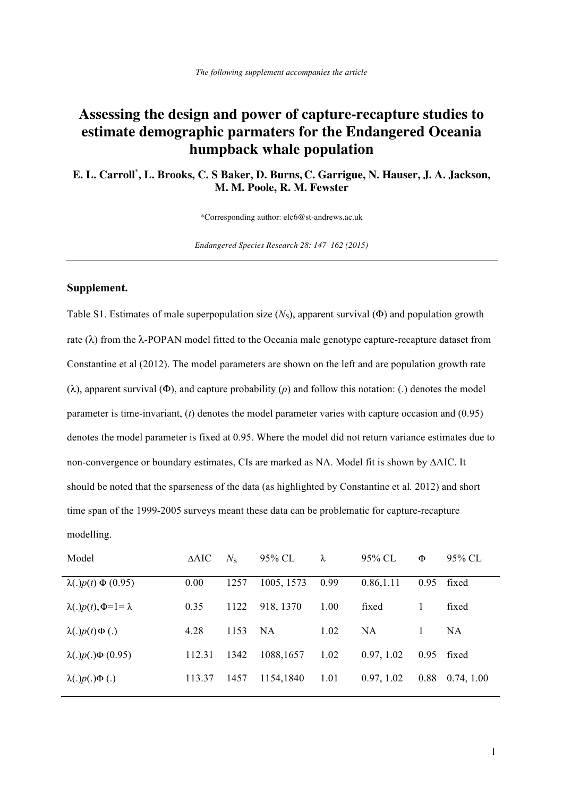## **Assessing the design and power of capture-recapture studies to estimate demographic parmaters for the Endangered Oceania humpback whale population**

**E. L. Carroll***\** **, L. Brooks, C. S Baker, D. Burns, C. Garrigue, N. Hauser, J. A. Jackson, M. M. Poole, R. M. Fewster** 

\*Corresponding author: elc6@st-andrews.ac.uk

*Endangered Species Research 28: 147–162 (2015)* 

## **Supplement.**

Table S1. Estimates of male superpopulation size (*N*<sub>S</sub>), apparent survival (Φ) and population growth rate ( $\lambda$ ) from the  $\lambda$ -POPAN model fitted to the Oceania male genotype capture-recapture dataset from Constantine et al (2012). The model parameters are shown on the left and are population growth rate (λ), apparent survival (Φ), and capture probability (*p*) and follow this notation: (.) denotes the model parameter is time-invariant, (*t*) denotes the model parameter varies with capture occasion and (0.95) denotes the model parameter is fixed at 0.95. Where the model did not return variance estimates due to non-convergence or boundary estimates, CIs are marked as NA. Model fit is shown by ΔAIC. It should be noted that the sparseness of the data (as highlighted by Constantine et al*.* 2012) and short time span of the 1999-2005 surveys meant these data can be problematic for capture-recapture modelling.

| Model                            | $\triangle AIC$ | $N_{\rm s}$ | 95% CL     | λ    | 95% CL     | Φ    | 95% CL     |
|----------------------------------|-----------------|-------------|------------|------|------------|------|------------|
| $\lambda(.)p(t) \Phi(0.95)$      | 0.00            | 1257        | 1005, 1573 | 0.99 | 0.86, 1.11 | 0.95 | fixed      |
| $\lambda(.)p(t), \Phi=1=\lambda$ | 0.35            | 1122        | 918, 1370  | 1.00 | fixed      | 1    | fixed      |
| $\lambda(.)p(t)\Phi(.)$          | 4.28            | 1153        | NA.        | 1.02 | NA.        |      | NA.        |
| $\lambda(.)p(.)\Phi(0.95)$       | 112.31          | 1342        | 1088,1657  | 1.02 | 0.97, 1.02 | 0.95 | fixed      |
| $\lambda(.)p(.)\Phi(.)$          | 113.37          | 1457        | 1154,1840  | 1.01 | 0.97, 1.02 | 0.88 | 0.74, 1.00 |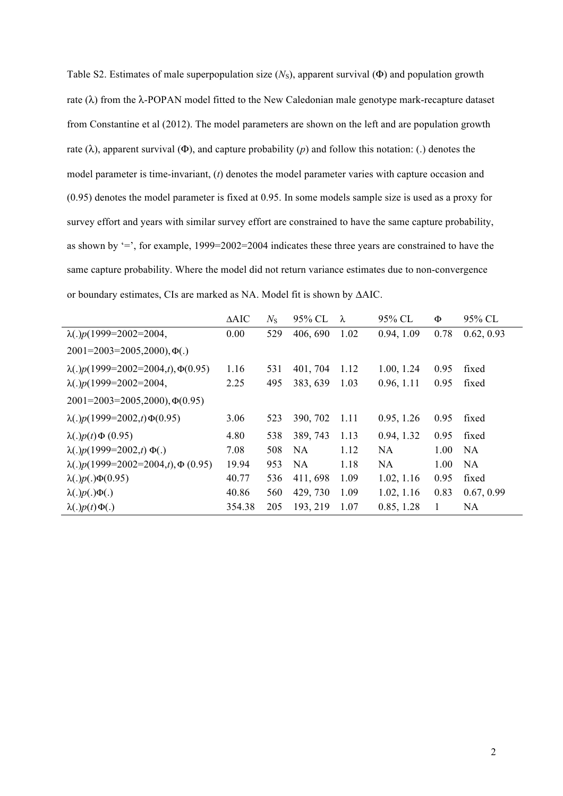Table S2. Estimates of male superpopulation size (*N*<sub>S</sub>), apparent survival (Φ) and population growth rate  $(\lambda)$  from the  $\lambda$ -POPAN model fitted to the New Caledonian male genotype mark-recapture dataset from Constantine et al (2012). The model parameters are shown on the left and are population growth rate (λ), apparent survival (Φ), and capture probability (*p*) and follow this notation: (.) denotes the model parameter is time-invariant, (*t*) denotes the model parameter varies with capture occasion and (0.95) denotes the model parameter is fixed at 0.95. In some models sample size is used as a proxy for survey effort and years with similar survey effort are constrained to have the same capture probability, as shown by '=', for example, 1999=2002=2004 indicates these three years are constrained to have the same capture probability. Where the model did not return variance estimates due to non-convergence or boundary estimates, CIs are marked as NA. Model fit is shown by ΔAIC.

|                                             | $\triangle AIC$ | $N_{\rm S}$ | 95% CL    | λ    | 95% CL     | Ф    | 95% CL     |
|---------------------------------------------|-----------------|-------------|-----------|------|------------|------|------------|
| $\lambda(.)p(1999=2002=2004,$               | 0.00            | 529         | 406, 690  | 1.02 | 0.94, 1.09 | 0.78 | 0.62, 0.93 |
| $2001 = 2003 = 2005, 2000, \Phi(.)$         |                 |             |           |      |            |      |            |
| $\lambda(.)p(1999=2002=2004,t), \Phi(0.95)$ | 1.16            | 531         | 401, 704  | 1.12 | 1.00, 1.24 | 0.95 | fixed      |
| $\lambda(.)p(1999=2002=2004,$               | 2.25            | 495         | 383, 639  | 1.03 | 0.96, 1.11 | 0.95 | fixed      |
| $2001 = 2003 = 2005, 2000, \Phi(0.95)$      |                 |             |           |      |            |      |            |
| $\lambda(.)p(1999=2002,t)\Phi(0.95)$        | 3.06            | 523         | 390, 702  | 1.11 | 0.95, 1.26 | 0.95 | fixed      |
| $\lambda(.)p(t)\Phi(0.95)$                  | 4.80            | 538         | 389, 743  | 1.13 | 0.94, 1.32 | 0.95 | fixed      |
| $\lambda(.)p(1999=2002,t) \Phi(.)$          | 7.08            | 508         | <b>NA</b> | 1.12 | <b>NA</b>  | 1.00 | <b>NA</b>  |
| $\lambda(.)p(1999=2002=2004,t), \Phi(0.95)$ | 19.94           | 953         | NA.       | 1.18 | <b>NA</b>  | 1.00 | NA         |
| $\lambda(.)p(.)\Phi(0.95)$                  | 40.77           | 536         | 411, 698  | 1.09 | 1.02, 1.16 | 0.95 | fixed      |
| $\lambda(.)p(.)\Phi(.)$                     | 40.86           | 560         | 429, 730  | 1.09 | 1.02, 1.16 | 0.83 | 0.67, 0.99 |
| $\lambda(.)p(t)\Phi(.)$                     | 354.38          | 205         | 193, 219  | 1.07 | 0.85, 1.28 |      | <b>NA</b>  |